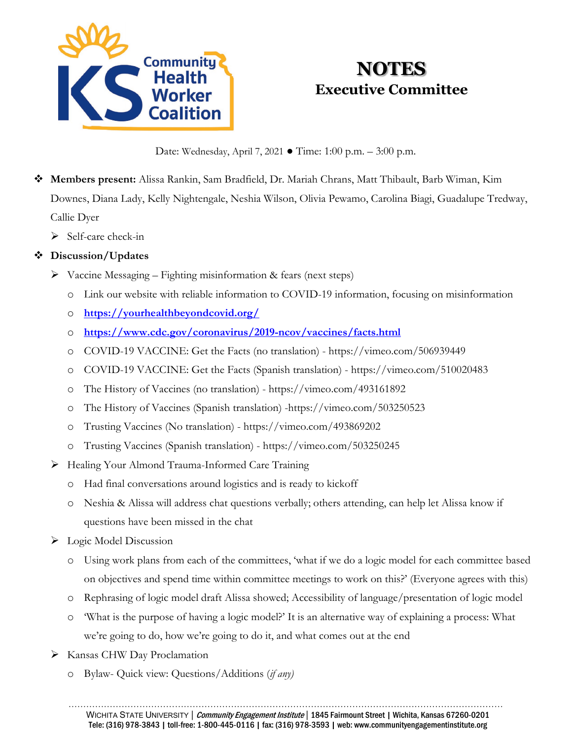

# **NOTES Executive Committee**

Date: Wednesday, April 7, 2021 ● Time: 1:00 p.m. – 3:00 p.m.

- **Members present:** Alissa Rankin, Sam Bradfield, Dr. Mariah Chrans, Matt Thibault, Barb Wiman, Kim Downes, Diana Lady, Kelly Nightengale, Neshia Wilson, Olivia Pewamo, Carolina Biagi, Guadalupe Tredway, Callie Dyer
	- $\triangleright$  Self-care check-in

# **Discussion/Updates**

- $\triangleright$  Vaccine Messaging Fighting misinformation & fears (next steps)
	- o Link our website with reliable information to COVID-19 information, focusing on misinformation
	- o **<https://yourhealthbeyondcovid.org/>**
	- o **<https://www.cdc.gov/coronavirus/2019-ncov/vaccines/facts.html>**
	- o COVID-19 VACCINE: Get the Facts (no translation) https://vimeo.com/506939449
	- o COVID-19 VACCINE: Get the Facts (Spanish translation) https://vimeo.com/510020483
	- o The History of Vaccines (no translation) https://vimeo.com/493161892
	- o The History of Vaccines (Spanish translation) -https://vimeo.com/503250523
	- o Trusting Vaccines (No translation) https://vimeo.com/493869202
	- o Trusting Vaccines (Spanish translation) https://vimeo.com/503250245
- Healing Your Almond Trauma-Informed Care Training
	- o Had final conversations around logistics and is ready to kickoff
	- o Neshia & Alissa will address chat questions verbally; others attending, can help let Alissa know if questions have been missed in the chat
- $\triangleright$  Logic Model Discussion
	- o Using work plans from each of the committees, 'what if we do a logic model for each committee based on objectives and spend time within committee meetings to work on this?' (Everyone agrees with this)
	- o Rephrasing of logic model draft Alissa showed; Accessibility of language/presentation of logic model
	- o 'What is the purpose of having a logic model?' It is an alternative way of explaining a process: What we're going to do, how we're going to do it, and what comes out at the end
- Kansas CHW Day Proclamation
	- o Bylaw- Quick view: Questions/Additions (*if any)*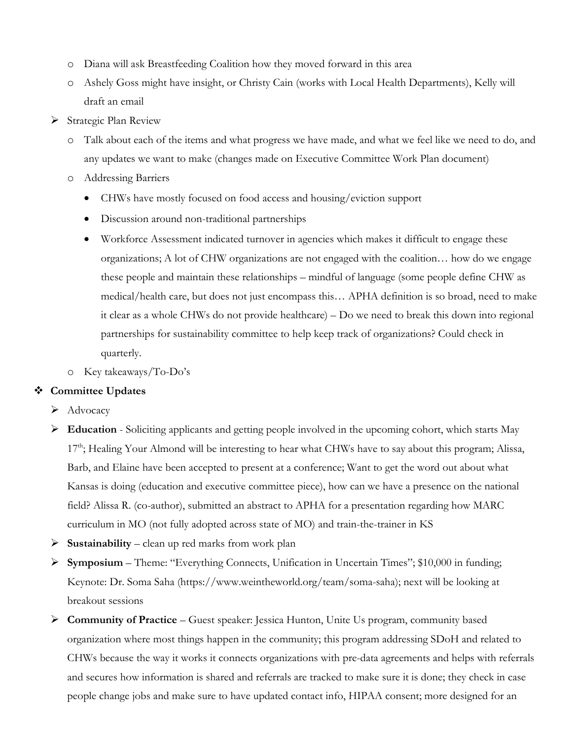- o Diana will ask Breastfeeding Coalition how they moved forward in this area
- o Ashely Goss might have insight, or Christy Cain (works with Local Health Departments), Kelly will draft an email
- Strategic Plan Review
	- o Talk about each of the items and what progress we have made, and what we feel like we need to do, and any updates we want to make (changes made on Executive Committee Work Plan document)
	- o Addressing Barriers
		- CHWs have mostly focused on food access and housing/eviction support
		- Discussion around non-traditional partnerships
		- Workforce Assessment indicated turnover in agencies which makes it difficult to engage these organizations; A lot of CHW organizations are not engaged with the coalition… how do we engage these people and maintain these relationships – mindful of language (some people define CHW as medical/health care, but does not just encompass this… APHA definition is so broad, need to make it clear as a whole CHWs do not provide healthcare) – Do we need to break this down into regional partnerships for sustainability committee to help keep track of organizations? Could check in quarterly.
	- o Key takeaways/To-Do's

#### **Committee Updates**

- $\blacktriangleright$  Advocacy
- **Education** Soliciting applicants and getting people involved in the upcoming cohort, which starts May 17<sup>th</sup>; Healing Your Almond will be interesting to hear what CHWs have to say about this program; Alissa, Barb, and Elaine have been accepted to present at a conference; Want to get the word out about what Kansas is doing (education and executive committee piece), how can we have a presence on the national field? Alissa R. (co-author), submitted an abstract to APHA for a presentation regarding how MARC curriculum in MO (not fully adopted across state of MO) and train-the-trainer in KS
- $\triangleright$  **Sustainability** clean up red marks from work plan
- **Symposium** Theme: "Everything Connects, Unification in Uncertain Times"; \$10,000 in funding; Keynote: Dr. Soma Saha (https://www.weintheworld.org/team/soma-saha); next will be looking at breakout sessions
- **Community of Practice** Guest speaker: Jessica Hunton, Unite Us program, community based organization where most things happen in the community; this program addressing SDoH and related to CHWs because the way it works it connects organizations with pre-data agreements and helps with referrals and secures how information is shared and referrals are tracked to make sure it is done; they check in case people change jobs and make sure to have updated contact info, HIPAA consent; more designed for an